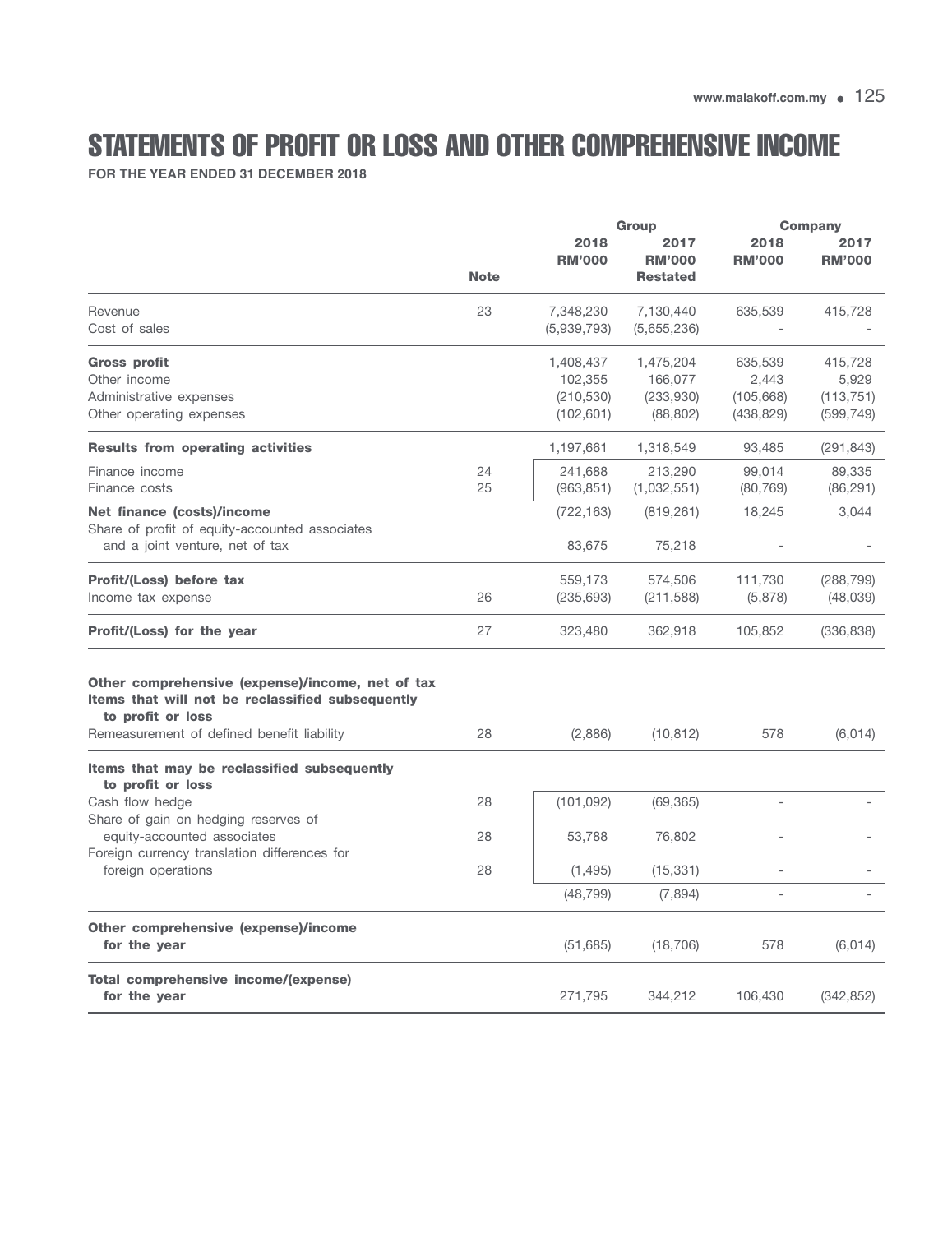## STATEMENTS OF PROFIT OR LOSS AND OTHER COMPREHENSIVE INCOME

**FOR THE YEAR ENDED 31 DECEMBER 2018**

|                                                                                                                                                                         |             |                                                  | <b>Group</b>                                   |                                              | <b>Company</b>                               |  |
|-------------------------------------------------------------------------------------------------------------------------------------------------------------------------|-------------|--------------------------------------------------|------------------------------------------------|----------------------------------------------|----------------------------------------------|--|
|                                                                                                                                                                         | <b>Note</b> | 2018<br><b>RM'000</b>                            | 2017<br><b>RM'000</b><br><b>Restated</b>       | 2018<br><b>RM'000</b>                        | 2017<br><b>RM'000</b>                        |  |
| Revenue<br>Cost of sales                                                                                                                                                | 23          | 7,348,230<br>(5,939,793)                         | 7,130,440<br>(5,655,236)                       | 635,539                                      | 415,728                                      |  |
| <b>Gross profit</b><br>Other income<br>Administrative expenses<br>Other operating expenses                                                                              |             | 1,408,437<br>102,355<br>(210, 530)<br>(102, 601) | 1,475,204<br>166,077<br>(233,930)<br>(88, 802) | 635,539<br>2,443<br>(105, 668)<br>(438, 829) | 415,728<br>5,929<br>(113, 751)<br>(599, 749) |  |
| <b>Results from operating activities</b>                                                                                                                                |             | 1,197,661                                        | 1,318,549                                      | 93,485                                       | (291, 843)                                   |  |
| Finance income<br>Finance costs                                                                                                                                         | 24<br>25    | 241,688<br>(963, 851)                            | 213,290<br>(1,032,551)                         | 99,014<br>(80, 769)                          | 89,335<br>(86, 291)                          |  |
| Net finance (costs)/income<br>Share of profit of equity-accounted associates<br>and a joint venture, net of tax                                                         |             | (722, 163)<br>83,675                             | (819, 261)<br>75,218                           | 18,245                                       | 3,044                                        |  |
| Profit/(Loss) before tax<br>Income tax expense                                                                                                                          | 26          | 559,173<br>(235, 693)                            | 574,506<br>(211, 588)                          | 111,730<br>(5,878)                           | (288, 799)<br>(48, 039)                      |  |
| <b>Profit/(Loss) for the year</b>                                                                                                                                       | 27          | 323,480                                          | 362,918                                        | 105,852                                      | (336, 838)                                   |  |
| Other comprehensive (expense)/income, net of tax<br>Items that will not be reclassified subsequently<br>to profit or loss<br>Remeasurement of defined benefit liability | 28          | (2,886)                                          | (10, 812)                                      | 578                                          | (6,014)                                      |  |
| Items that may be reclassified subsequently<br>to profit or loss                                                                                                        |             |                                                  |                                                |                                              |                                              |  |
| Cash flow hedge<br>Share of gain on hedging reserves of                                                                                                                 | 28          | (101, 092)                                       | (69, 365)                                      |                                              |                                              |  |
| equity-accounted associates<br>Foreign currency translation differences for<br>foreign operations                                                                       | 28<br>28    | 53,788<br>(1, 495)                               | 76,802<br>(15, 331)                            |                                              |                                              |  |
|                                                                                                                                                                         |             | (48, 799)                                        | (7,894)                                        |                                              |                                              |  |
| Other comprehensive (expense)/income<br>for the year                                                                                                                    |             | (51, 685)                                        | (18, 706)                                      | 578                                          | (6,014)                                      |  |
| Total comprehensive income/(expense)<br>for the year                                                                                                                    |             | 271,795                                          | 344,212                                        | 106,430                                      | (342, 852)                                   |  |